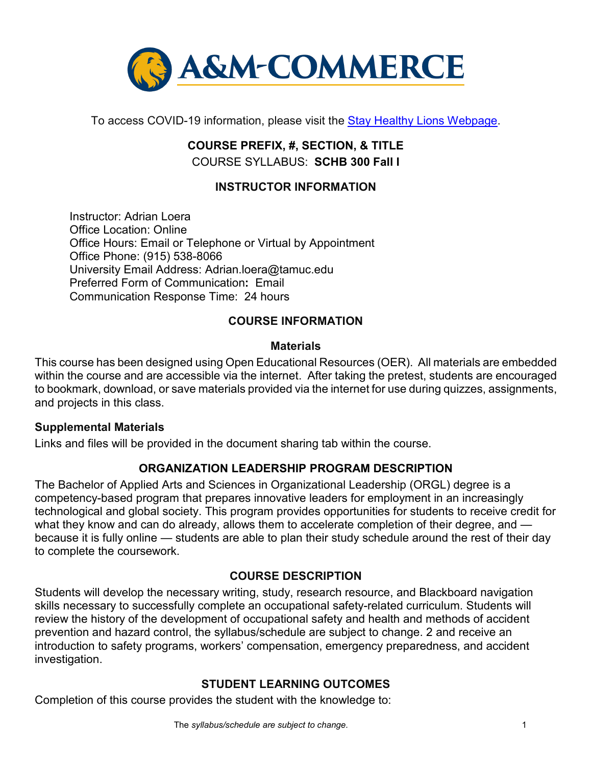

To access COVID-19 information, please visit the [Stay Healthy Lions Webpage.](https://new.tamuc.edu/coronavirus/)

# **COURSE PREFIX, #, SECTION, & TITLE** COURSE SYLLABUS: **SCHB 300 Fall I**

## **INSTRUCTOR INFORMATION**

Instructor: Adrian Loera Office Location: Online Office Hours: Email or Telephone or Virtual by Appointment Office Phone: (915) 538-8066 University Email Address: Adrian.loera@tamuc.edu Preferred Form of Communication**:** Email Communication Response Time: 24 hours

## **COURSE INFORMATION**

#### **Materials**

This course has been designed using Open Educational Resources (OER). All materials are embedded within the course and are accessible via the internet. After taking the pretest, students are encouraged to bookmark, download, or save materials provided via the internet for use during quizzes, assignments, and projects in this class.

#### **Supplemental Materials**

Links and files will be provided in the document sharing tab within the course.

#### **ORGANIZATION LEADERSHIP PROGRAM DESCRIPTION**

The Bachelor of Applied Arts and Sciences in Organizational Leadership (ORGL) degree is a competency-based program that prepares innovative leaders for employment in an increasingly technological and global society. This program provides opportunities for students to receive credit for what they know and can do already, allows them to accelerate completion of their degree, and because it is fully online — students are able to plan their study schedule around the rest of their day to complete the coursework.

## **[COURSE DESCRIPTION](http://catalog.tamuc.edu/undergrad/colleges-and-departments/college-of-innovation-design/baas-organizational-leadership/?_ga=2.81546143.928332977.1616426723-584154711.1595512675)**

Students will develop the necessary writing, study, research resource, and Blackboard navigation skills necessary to successfully complete an occupational safety-related curriculum. Students will review the history of the development of occupational safety and health and methods of accident prevention and hazard control, the syllabus/schedule are subject to change. 2 and receive an introduction to safety programs, workers' compensation, emergency preparedness, and accident investigation.

#### **STUDENT LEARNING OUTCOMES**

Completion of this course provides the student with the knowledge to: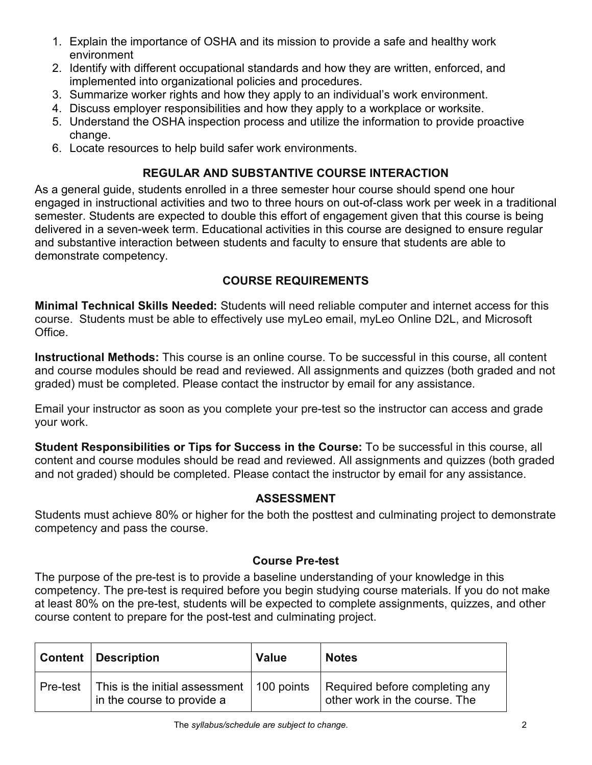- 1. Explain the importance of OSHA and its mission to provide a safe and healthy work environment
- 2. Identify with different occupational standards and how they are written, enforced, and implemented into organizational policies and procedures.
- 3. Summarize worker rights and how they apply to an individual's work environment.
- 4. Discuss employer responsibilities and how they apply to a workplace or worksite.
- 5. Understand the OSHA inspection process and utilize the information to provide proactive change.
- 6. Locate resources to help build safer work environments.

## **REGULAR AND SUBSTANTIVE COURSE INTERACTION**

As a general guide, students enrolled in a three semester hour course should spend one hour engaged in instructional activities and two to three hours on out-of-class work per week in a traditional semester. Students are expected to double this effort of engagement given that this course is being delivered in a seven-week term. Educational activities in this course are designed to ensure regular and substantive interaction between students and faculty to ensure that students are able to demonstrate competency.

# **COURSE REQUIREMENTS**

**Minimal Technical Skills Needed:** Students will need reliable computer and internet access for this course. Students must be able to effectively use myLeo email, myLeo Online D2L, and Microsoft Office.

**Instructional Methods:** This course is an online course. To be successful in this course, all content and course modules should be read and reviewed. All assignments and quizzes (both graded and not graded) must be completed. Please contact the instructor by email for any assistance.

Email your instructor as soon as you complete your pre-test so the instructor can access and grade your work.

**Student Responsibilities or Tips for Success in the Course:** To be successful in this course, all content and course modules should be read and reviewed. All assignments and quizzes (both graded and not graded) should be completed. Please contact the instructor by email for any assistance.

## **ASSESSMENT**

Students must achieve 80% or higher for the both the posttest and culminating project to demonstrate competency and pass the course.

## **Course Pre-test**

The purpose of the pre-test is to provide a baseline understanding of your knowledge in this competency. The pre-test is required before you begin studying course materials. If you do not make at least 80% on the pre-test, students will be expected to complete assignments, quizzes, and other course content to prepare for the post-test and culminating project.

|          | <b>Content   Description</b>                                              | <b>Value</b> | <b>Notes</b>                                                    |
|----------|---------------------------------------------------------------------------|--------------|-----------------------------------------------------------------|
| Pre-test | This is the initial assessment   100 points<br>in the course to provide a |              | Required before completing any<br>other work in the course. The |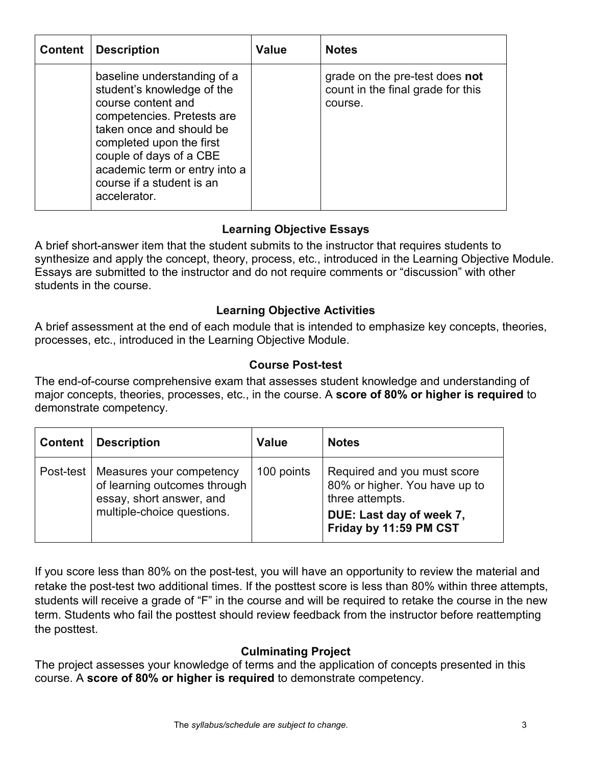| <b>Content</b> | <b>Description</b>                                                                                                                                                                                                                                                             | <b>Value</b> | <b>Notes</b>                                                                   |
|----------------|--------------------------------------------------------------------------------------------------------------------------------------------------------------------------------------------------------------------------------------------------------------------------------|--------------|--------------------------------------------------------------------------------|
|                | baseline understanding of a<br>student's knowledge of the<br>course content and<br>competencies. Pretests are<br>taken once and should be<br>completed upon the first<br>couple of days of a CBE<br>academic term or entry into a<br>course if a student is an<br>accelerator. |              | grade on the pre-test does not<br>count in the final grade for this<br>course. |

# **Learning Objective Essays**

A brief short-answer item that the student submits to the instructor that requires students to synthesize and apply the concept, theory, process, etc., introduced in the Learning Objective Module. Essays are submitted to the instructor and do not require comments or "discussion" with other students in the course.

## **Learning Objective Activities**

A brief assessment at the end of each module that is intended to emphasize key concepts, theories, processes, etc., introduced in the Learning Objective Module.

## **Course Post-test**

The end-of-course comprehensive exam that assesses student knowledge and understanding of major concepts, theories, processes, etc., in the course. A **score of 80% or higher is required** to demonstrate competency.

| <b>Content</b> | <b>Description</b>                                                                                                             | <b>Value</b> | <b>Notes</b>                                                                                                                          |
|----------------|--------------------------------------------------------------------------------------------------------------------------------|--------------|---------------------------------------------------------------------------------------------------------------------------------------|
|                | Post-test   Measures your competency<br>of learning outcomes through<br>essay, short answer, and<br>multiple-choice questions. | 100 points   | Required and you must score<br>80% or higher. You have up to<br>three attempts.<br>DUE: Last day of week 7,<br>Friday by 11:59 PM CST |

If you score less than 80% on the post-test, you will have an opportunity to review the material and retake the post-test two additional times. If the posttest score is less than 80% within three attempts, students will receive a grade of "F" in the course and will be required to retake the course in the new term. Students who fail the posttest should review feedback from the instructor before reattempting the posttest.

## **Culminating Project**

The project assesses your knowledge of terms and the application of concepts presented in this course. A **score of 80% or higher is required** to demonstrate competency.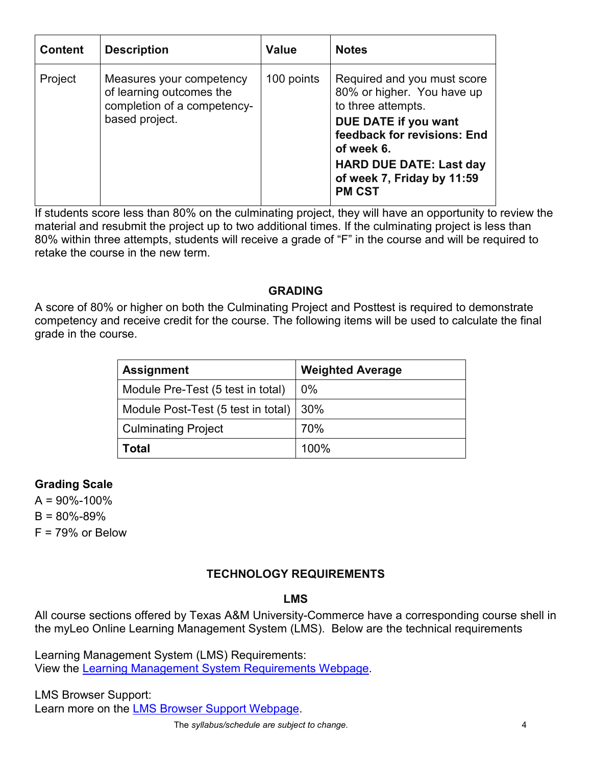| <b>Content</b> | <b>Description</b>                                                                                    | <b>Value</b> | <b>Notes</b>                                                                                                                                                                                                                          |
|----------------|-------------------------------------------------------------------------------------------------------|--------------|---------------------------------------------------------------------------------------------------------------------------------------------------------------------------------------------------------------------------------------|
| Project        | Measures your competency<br>of learning outcomes the<br>completion of a competency-<br>based project. | 100 points   | Required and you must score<br>80% or higher. You have up<br>to three attempts.<br>DUE DATE if you want<br>feedback for revisions: End<br>of week 6.<br><b>HARD DUE DATE: Last day</b><br>of week 7, Friday by 11:59<br><b>PM CST</b> |

If students score less than 80% on the culminating project, they will have an opportunity to review the material and resubmit the project up to two additional times. If the culminating project is less than 80% within three attempts, students will receive a grade of "F" in the course and will be required to retake the course in the new term.

### **GRADING**

A score of 80% or higher on both the Culminating Project and Posttest is required to demonstrate competency and receive credit for the course. The following items will be used to calculate the final grade in the course.

| <b>Assignment</b>                        | <b>Weighted Average</b> |
|------------------------------------------|-------------------------|
| Module Pre-Test (5 test in total)        | $0\%$                   |
| Module Post-Test (5 test in total)   30% |                         |
| <b>Culminating Project</b>               | 70%                     |
| Total                                    | 100%                    |

## **Grading Scale**

 $A = 90\% - 100\%$  $B = 80\% - 89\%$ 

 $F = 79%$  or Below

## **TECHNOLOGY REQUIREMENTS**

#### **LMS**

All course sections offered by Texas A&M University-Commerce have a corresponding course shell in the myLeo Online Learning Management System (LMS). Below are the technical requirements

Learning Management System (LMS) Requirements: View the [Learning Management System Requirements Webpage.](https://community.brightspace.com/s/article/Brightspace-Platform-Requirements)

LMS Browser Support: Learn more on the [LMS Browser Support Webpage.](https://documentation.brightspace.com/EN/brightspace/requirements/all/browser_support.htm)

The *syllabus/schedule are subject to change.* 4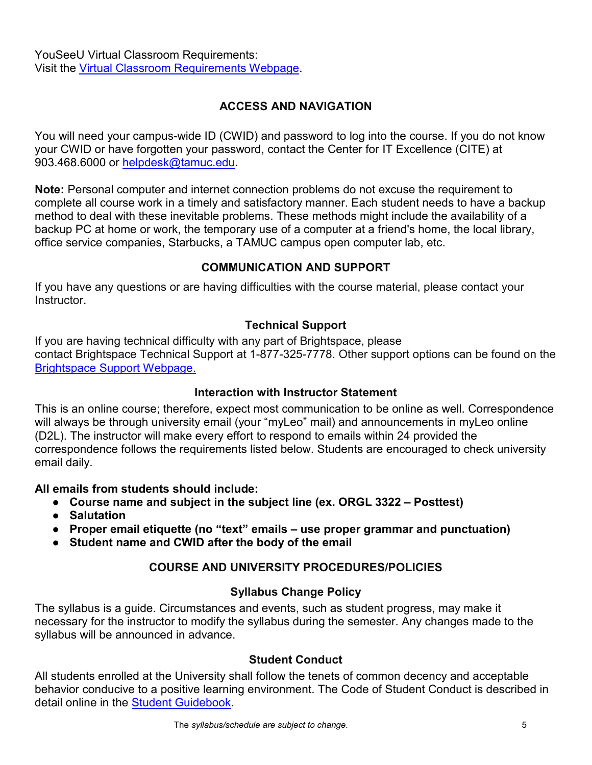YouSeeU Virtual Classroom Requirements: Visit the [Virtual Classroom Requirements Webpage.](https://support.youseeu.com/hc/en-us/articles/115007031107-Basic-System-Requirements)

## **ACCESS AND NAVIGATION**

You will need your campus-wide ID (CWID) and password to log into the course. If you do not know your CWID or have forgotten your password, contact the Center for IT Excellence (CITE) at 903.468.6000 or [helpdesk@tamuc.edu](mailto:helpdesk@tamuc.edu)**.**

**Note:** Personal computer and internet connection problems do not excuse the requirement to complete all course work in a timely and satisfactory manner. Each student needs to have a backup method to deal with these inevitable problems. These methods might include the availability of a backup PC at home or work, the temporary use of a computer at a friend's home, the local library, office service companies, Starbucks, a TAMUC campus open computer lab, etc.

## **COMMUNICATION AND SUPPORT**

If you have any questions or are having difficulties with the course material, please contact your Instructor.

## **Technical Support**

If you are having technical difficulty with any part of Brightspace, please contact Brightspace Technical Support at 1-877-325-7778. Other support options can be found on the [Brightspace Support Webpage.](https://community.brightspace.com/support/s/contactsupport)

## **Interaction with Instructor Statement**

This is an online course; therefore, expect most communication to be online as well. Correspondence will always be through university email (your "myLeo" mail) and announcements in myLeo online (D2L). The instructor will make every effort to respond to emails within 24 provided the correspondence follows the requirements listed below. Students are encouraged to check university email daily.

#### **All emails from students should include:**

- **Course name and subject in the subject line (ex. ORGL 3322 – Posttest)**
- **Salutation**
- **Proper email etiquette (no "text" emails – use proper grammar and punctuation)**
- **Student name and CWID after the body of the email**

# **COURSE AND UNIVERSITY PROCEDURES/POLICIES**

## **Syllabus Change Policy**

The syllabus is a guide. Circumstances and events, such as student progress, may make it necessary for the instructor to modify the syllabus during the semester. Any changes made to the syllabus will be announced in advance.

## **Student Conduct**

All students enrolled at the University shall follow the tenets of common decency and acceptable behavior conducive to a positive learning environment. The Code of Student Conduct is described in detail online in the [Student Guidebook.](http://www.tamuc.edu/Admissions/oneStopShop/undergraduateAdmissions/studentGuidebook.aspx)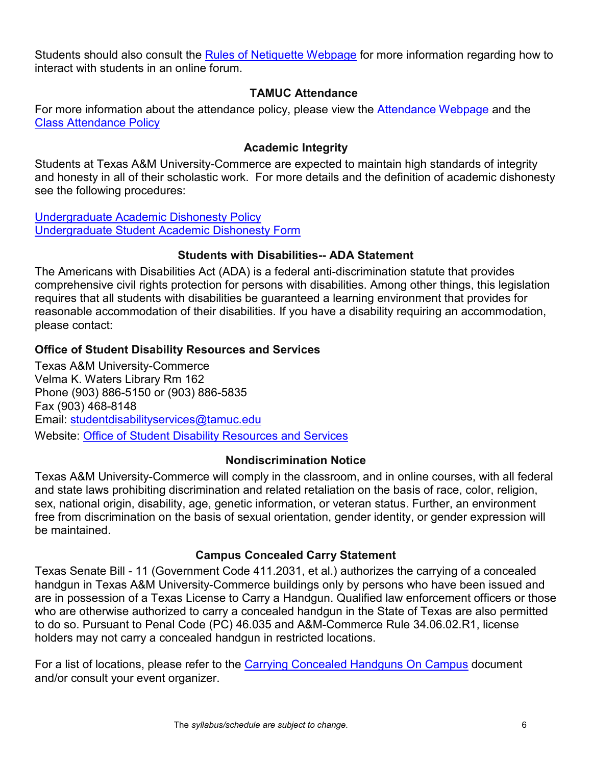Students should also consult the [Rules of Netiquette Webpage](https://www.britannica.com/topic/netiquette) for more information regarding how to interact with students in an online forum.

### **TAMUC Attendance**

For more information about the attendance policy, please view the [Attendance Webpage](http://www.tamuc.edu/admissions/registrar/generalInformation/attendance.aspx) and the Class [Attendance Policy](http://www.tamuc.edu/aboutUs/policiesProceduresStandardsStatements/rulesProcedures/13students/academic/13.99.99.R0.01.pdf)

## **Academic Integrity**

Students at Texas A&M University-Commerce are expected to maintain high standards of integrity and honesty in all of their scholastic work. For more details and the definition of academic dishonesty see the following procedures:

[Undergraduate Academic Dishonesty P](http://www.tamuc.edu/aboutUs/policiesProceduresStandardsStatements/rulesProcedures/13students/undergraduates/13.99.99.R0.03UndergraduateAcademicDishonesty.pdf)olicy [Undergraduate Student Academic Dishonesty Form](http://www.tamuc.edu/aboutUs/policiesProceduresStandardsStatements/rulesProcedures/documents/13.99.99.R0.03UndergraduateStudentAcademicDishonestyForm.pdf)

### **Students with Disabilities-- ADA Statement**

The Americans with Disabilities Act (ADA) is a federal anti-discrimination statute that provides comprehensive civil rights protection for persons with disabilities. Among other things, this legislation requires that all students with disabilities be guaranteed a learning environment that provides for reasonable accommodation of their disabilities. If you have a disability requiring an accommodation, please contact:

## **Office of Student Disability Resources and Services**

Texas A&M University-Commerce Velma K. Waters Library Rm 162 Phone (903) 886-5150 or (903) 886-5835 Fax (903) 468-8148 Email: [studentdisabilityservices@tamuc.edu](mailto:studentdisabilityservices@tamuc.edu) Website: [Office of Student Disability Resources and Services](http://www.tamuc.edu/campusLife/campusServices/studentDisabilityResourcesAndServices/)

## **Nondiscrimination Notice**

Texas A&M University-Commerce will comply in the classroom, and in online courses, with all federal and state laws prohibiting discrimination and related retaliation on the basis of race, color, religion, sex, national origin, disability, age, genetic information, or veteran status. Further, an environment free from discrimination on the basis of sexual orientation, gender identity, or gender expression will be maintained.

## **Campus Concealed Carry Statement**

Texas Senate Bill - 11 (Government Code 411.2031, et al.) authorizes the carrying of a concealed handgun in Texas A&M University-Commerce buildings only by persons who have been issued and are in possession of a Texas License to Carry a Handgun. Qualified law enforcement officers or those who are otherwise authorized to carry a concealed handgun in the State of Texas are also permitted to do so. Pursuant to Penal Code (PC) 46.035 and A&M-Commerce Rule 34.06.02.R1, license holders may not carry a concealed handgun in restricted locations.

For a list of locations, please refer to the [Carrying Concealed Handguns On Campus](http://www.tamuc.edu/aboutUs/policiesProceduresStandardsStatements/rulesProcedures/34SafetyOfEmployeesAndStudents/34.06.02.R1.pdf) document and/or consult your event organizer.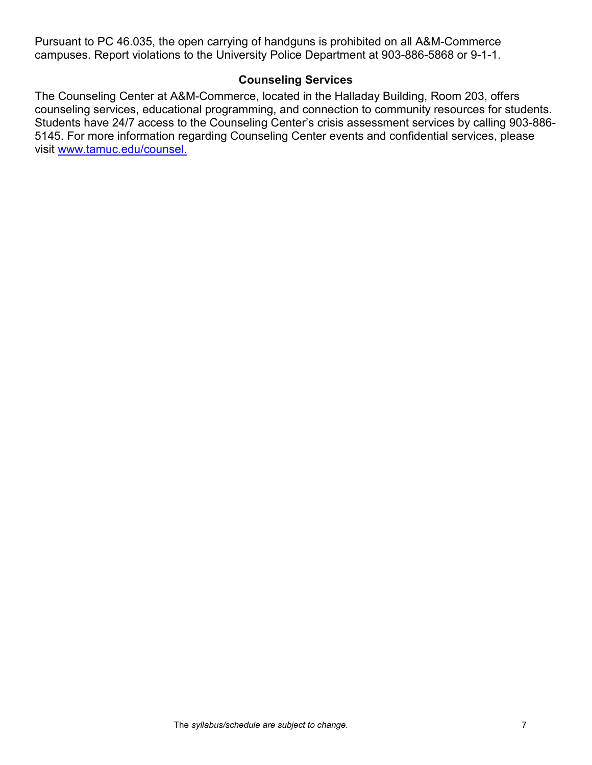Pursuant to PC 46.035, the open carrying of handguns is prohibited on all A&M-Commerce campuses. Report violations to the University Police Department at 903-886-5868 or 9-1-1.

#### **Counseling Services**

The Counseling Center at A&M-Commerce, located in the Halladay Building, Room 203, offers counseling services, educational programming, and connection to community resources for students. Students have 24/7 access to the Counseling Center's crisis assessment services by calling 903-886- 5145. For more information regarding Counseling Center events and confidential services, please visit [www.tamuc.edu/counsel.](http://www.tamuc.edu/counsel)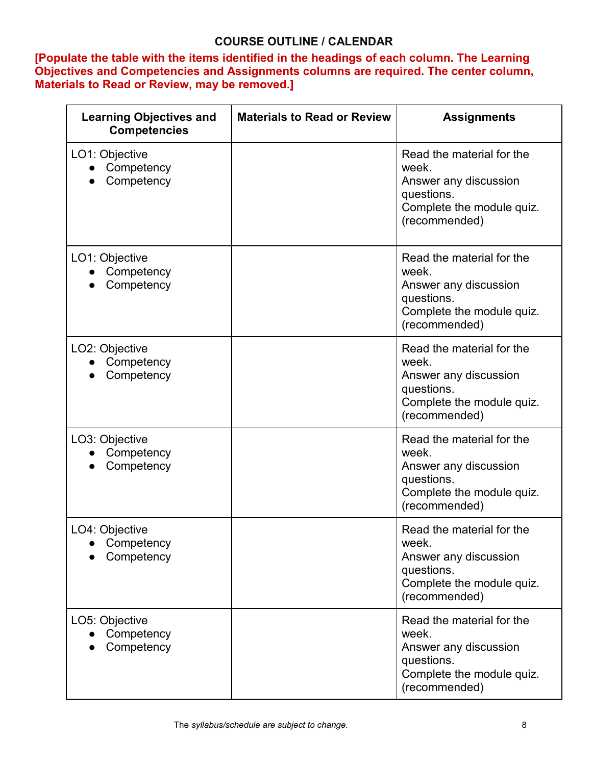## **COURSE OUTLINE / CALENDAR**

**[Populate the table with the items identified in the headings of each column. The Learning Objectives and Competencies and Assignments columns are required. The center column, Materials to Read or Review, may be removed.]**

| <b>Learning Objectives and</b><br><b>Competencies</b> | <b>Materials to Read or Review</b> | <b>Assignments</b>                                                                                                      |
|-------------------------------------------------------|------------------------------------|-------------------------------------------------------------------------------------------------------------------------|
| LO1: Objective<br>Competency<br>Competency            |                                    | Read the material for the<br>week.<br>Answer any discussion<br>questions.<br>Complete the module quiz.<br>(recommended) |
| LO1: Objective<br>Competency<br>Competency            |                                    | Read the material for the<br>week.<br>Answer any discussion<br>questions.<br>Complete the module quiz.<br>(recommended) |
| LO2: Objective<br>Competency<br>Competency            |                                    | Read the material for the<br>week.<br>Answer any discussion<br>questions.<br>Complete the module quiz.<br>(recommended) |
| LO3: Objective<br>Competency<br>Competency            |                                    | Read the material for the<br>week.<br>Answer any discussion<br>questions.<br>Complete the module quiz.<br>(recommended) |
| LO4: Objective<br>Competency<br>Competency            |                                    | Read the material for the<br>week.<br>Answer any discussion<br>questions.<br>Complete the module quiz.<br>(recommended) |
| LO5: Objective<br>Competency<br>Competency            |                                    | Read the material for the<br>week.<br>Answer any discussion<br>questions.<br>Complete the module quiz.<br>(recommended) |